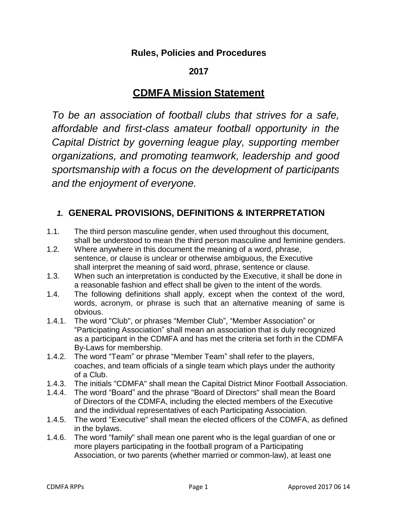# **Rules, Policies and Procedures**

# **2017**

# **CDMFA Mission Statement**

*To be an association of football clubs that strives for a safe, affordable and first-class amateur football opportunity in the Capital District by governing league play, supporting member organizations, and promoting teamwork, leadership and good sportsmanship with a focus on the development of participants and the enjoyment of everyone.*

# *1.* **GENERAL PROVISIONS, DEFINITIONS & INTERPRETATION**

- 1.1. The third person masculine gender, when used throughout this document, shall be understood to mean the third person masculine and feminine genders.
- 1.2. Where anywhere in this document the meaning of a word, phrase, sentence, or clause is unclear or otherwise ambiguous, the Executive shall interpret the meaning of said word, phrase, sentence or clause.
- 1.3. When such an interpretation is conducted by the Executive, it shall be done in a reasonable fashion and effect shall be given to the intent of the words.
- 1.4. The following definitions shall apply, except when the context of the word, words, acronym, or phrase is such that an alternative meaning of same is obvious.
- 1.4.1. The word "Club", or phrases "Member Club", "Member Association" or "Participating Association" shall mean an association that is duly recognized as a participant in the CDMFA and has met the criteria set forth in the CDMFA By-Laws for membership.
- 1.4.2. The word "Team" or phrase "Member Team" shall refer to the players, coaches, and team officials of a single team which plays under the authority of a Club.
- 1.4.3. The initials "CDMFA" shall mean the Capital District Minor Football Association.
- 1.4.4. The word "Board" and the phrase "Board of Directors" shall mean the Board of Directors of the CDMFA, including the elected members of the Executive and the individual representatives of each Participating Association.
- 1.4.5. The word "Executive" shall mean the elected officers of the CDMFA, as defined in the bylaws.
- 1.4.6. The word "family" shall mean one parent who is the legal guardian of one or more players participating in the football program of a Participating Association, or two parents (whether married or common-law), at least one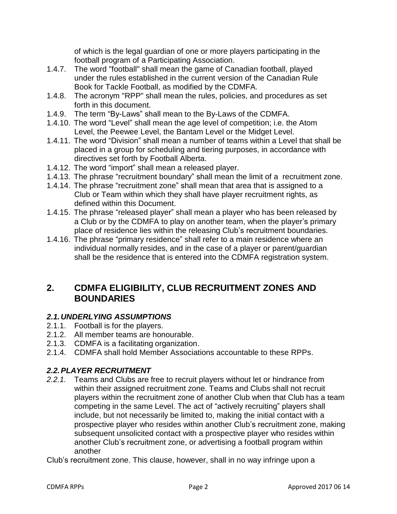of which is the legal guardian of one or more players participating in the football program of a Participating Association.

- 1.4.7. The word "football" shall mean the game of Canadian football, played under the rules established in the current version of the Canadian Rule Book for Tackle Football, as modified by the CDMFA.
- 1.4.8. The acronym "RPP" shall mean the rules, policies, and procedures as set forth in this document.
- 1.4.9. The term "By-Laws" shall mean to the By-Laws of the CDMFA.
- 1.4.10. The word "Level" shall mean the age level of competition; i.e. the Atom Level, the Peewee Level, the Bantam Level or the Midget Level.
- 1.4.11. The word "Division" shall mean a number of teams within a Level that shall be placed in a group for scheduling and tiering purposes, in accordance with directives set forth by Football Alberta.
- 1.4.12. The word "import" shall mean a released player.
- 1.4.13. The phrase "recruitment boundary" shall mean the limit of a recruitment zone.
- 1.4.14. The phrase "recruitment zone" shall mean that area that is assigned to a Club or Team within which they shall have player recruitment rights, as defined within this Document.
- 1.4.15. The phrase "released player" shall mean a player who has been released by a Club or by the CDMFA to play on another team, when the player's primary place of residence lies within the releasing Club's recruitment boundaries.
- 1.4.16. The phrase "primary residence" shall refer to a main residence where an individual normally resides, and in the case of a player or parent/guardian shall be the residence that is entered into the CDMFA registration system.

# **2. CDMFA ELIGIBILITY, CLUB RECRUITMENT ZONES AND BOUNDARIES**

# *2.1.UNDERLYING ASSUMPTIONS*

- 2.1.1. Football is for the players.
- 2.1.2. All member teams are honourable.
- 2.1.3. CDMFA is a facilitating organization.
- 2.1.4. CDMFA shall hold Member Associations accountable to these RPPs.

# *2.2.PLAYER RECRUITMENT*

*2.2.1.* Teams and Clubs are free to recruit players without let or hindrance from within their assigned recruitment zone. Teams and Clubs shall not recruit players within the recruitment zone of another Club when that Club has a team competing in the same Level. The act of "actively recruiting" players shall include, but not necessarily be limited to, making the initial contact with a prospective player who resides within another Club's recruitment zone, making subsequent unsolicited contact with a prospective player who resides within another Club's recruitment zone, or advertising a football program within another

Club's recruitment zone. This clause, however, shall in no way infringe upon a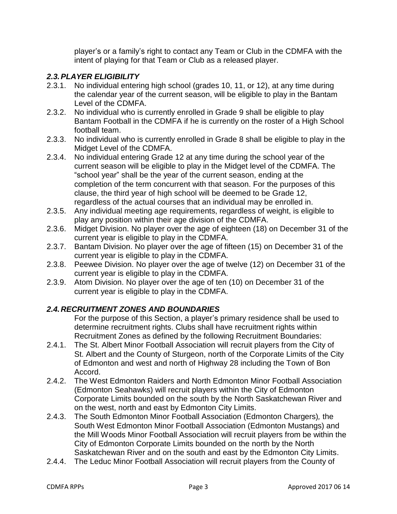player's or a family's right to contact any Team or Club in the CDMFA with the intent of playing for that Team or Club as a released player.

# *2.3.PLAYER ELIGIBILITY*

- 2.3.1. No individual entering high school (grades 10, 11, or 12), at any time during the calendar year of the current season, will be eligible to play in the Bantam Level of the CDMFA.
- 2.3.2. No individual who is currently enrolled in Grade 9 shall be eligible to play Bantam Football in the CDMFA if he is currently on the roster of a High School football team.
- 2.3.3. No individual who is currently enrolled in Grade 8 shall be eligible to play in the Midget Level of the CDMFA.
- 2.3.4. No individual entering Grade 12 at any time during the school year of the current season will be eligible to play in the Midget level of the CDMFA. The "school year" shall be the year of the current season, ending at the completion of the term concurrent with that season. For the purposes of this clause, the third year of high school will be deemed to be Grade 12, regardless of the actual courses that an individual may be enrolled in.
- 2.3.5. Any individual meeting age requirements, regardless of weight, is eligible to play any position within their age division of the CDMFA.
- 2.3.6. Midget Division. No player over the age of eighteen (18) on December 31 of the current year is eligible to play in the CDMFA.
- 2.3.7. Bantam Division. No player over the age of fifteen (15) on December 31 of the current year is eligible to play in the CDMFA.
- 2.3.8. Peewee Division. No player over the age of twelve (12) on December 31 of the current year is eligible to play in the CDMFA.
- 2.3.9. Atom Division. No player over the age of ten (10) on December 31 of the current year is eligible to play in the CDMFA.

# *2.4.RECRUITMENT ZONES AND BOUNDARIES*

For the purpose of this Section, a player's primary residence shall be used to determine recruitment rights. Clubs shall have recruitment rights within Recruitment Zones as defined by the following Recruitment Boundaries:

- 2.4.1. The St. Albert Minor Football Association will recruit players from the City of St. Albert and the County of Sturgeon, north of the Corporate Limits of the City of Edmonton and west and north of Highway 28 including the Town of Bon Accord.
- 2.4.2. The West Edmonton Raiders and North Edmonton Minor Football Association (Edmonton Seahawks) will recruit players within the City of Edmonton Corporate Limits bounded on the south by the North Saskatchewan River and on the west, north and east by Edmonton City Limits.
- 2.4.3. The South Edmonton Minor Football Association (Edmonton Chargers)*,* the South West Edmonton Minor Football Association (Edmonton Mustangs) and the Mill Woods Minor Football Association will recruit players from be within the City of Edmonton Corporate Limits bounded on the north by the North Saskatchewan River and on the south and east by the Edmonton City Limits.
- 2.4.4. The Leduc Minor Football Association will recruit players from the County of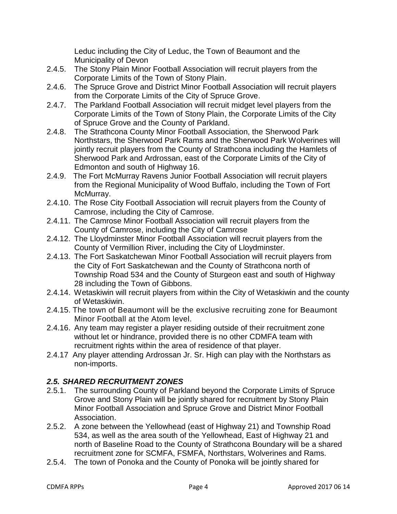Leduc including the City of Leduc, the Town of Beaumont and the Municipality of Devon

- 2.4.5. The Stony Plain Minor Football Association will recruit players from the Corporate Limits of the Town of Stony Plain.
- 2.4.6. The Spruce Grove and District Minor Football Association will recruit players from the Corporate Limits of the City of Spruce Grove.
- 2.4.7. The Parkland Football Association will recruit midget level players from the Corporate Limits of the Town of Stony Plain, the Corporate Limits of the City of Spruce Grove and the County of Parkland.
- 2.4.8. The Strathcona County Minor Football Association, the Sherwood Park Northstars, the Sherwood Park Rams and the Sherwood Park Wolverines will jointly recruit players from the County of Strathcona including the Hamlets of Sherwood Park and Ardrossan, east of the Corporate Limits of the City of Edmonton and south of Highway 16.
- 2.4.9. The Fort McMurray Ravens Junior Football Association will recruit players from the Regional Municipality of Wood Buffalo, including the Town of Fort McMurray.
- 2.4.10. The Rose City Football Association will recruit players from the County of Camrose, including the City of Camrose.
- 2.4.11. The Camrose Minor Football Association will recruit players from the County of Camrose, including the City of Camrose
- 2.4.12. The Lloydminster Minor Football Association will recruit players from the County of Vermillion River, including the City of Lloydminster.
- 2.4.13. The Fort Saskatchewan Minor Football Association will recruit players from the City of Fort Saskatchewan and the County of Strathcona north of Township Road 534 and the County of Sturgeon east and south of Highway 28 including the Town of Gibbons.
- 2.4.14. Wetaskiwin will recruit players from within the City of Wetaskiwin and the county of Wetaskiwin.
- 2.4.15. The town of Beaumont will be the exclusive recruiting zone for Beaumont Minor Football at the Atom level.
- 2.4.16. Any team may register a player residing outside of their recruitment zone without let or hindrance, provided there is no other CDMFA team with recruitment rights within the area of residence of that player.
- 2.4.17 Any player attending Ardrossan Jr. Sr. High can play with the Northstars as non-imports.

# *2.5. SHARED RECRUITMENT ZONES*

- 2.5.1. The surrounding County of Parkland beyond the Corporate Limits of Spruce Grove and Stony Plain will be jointly shared for recruitment by Stony Plain Minor Football Association and Spruce Grove and District Minor Football Association.
- 2.5.2. A zone between the Yellowhead (east of Highway 21) and Township Road 534, as well as the area south of the Yellowhead, East of Highway 21 and north of Baseline Road to the County of Strathcona Boundary will be a shared recruitment zone for SCMFA, FSMFA, Northstars, Wolverines and Rams.
- 2.5.4. The town of Ponoka and the County of Ponoka will be jointly shared for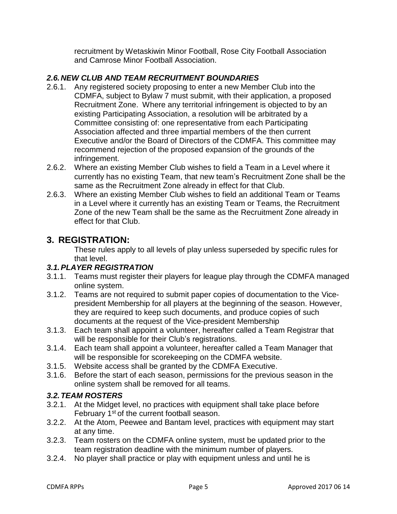recruitment by Wetaskiwin Minor Football, Rose City Football Association and Camrose Minor Football Association.

# *2.6.NEW CLUB AND TEAM RECRUITMENT BOUNDARIES*

- 2.6.1. Any registered society proposing to enter a new Member Club into the CDMFA, subject to Bylaw 7 must submit, with their application, a proposed Recruitment Zone. Where any territorial infringement is objected to by an existing Participating Association, a resolution will be arbitrated by a Committee consisting of: one representative from each Participating Association affected and three impartial members of the then current Executive and/or the Board of Directors of the CDMFA. This committee may recommend rejection of the proposed expansion of the grounds of the infringement.
- 2.6.2. Where an existing Member Club wishes to field a Team in a Level where it currently has no existing Team, that new team's Recruitment Zone shall be the same as the Recruitment Zone already in effect for that Club.
- 2.6.3. Where an existing Member Club wishes to field an additional Team or Teams in a Level where it currently has an existing Team or Teams, the Recruitment Zone of the new Team shall be the same as the Recruitment Zone already in effect for that Club.

# **3. REGISTRATION:**

These rules apply to all levels of play unless superseded by specific rules for that level.

# *3.1.PLAYER REGISTRATION*

- 3.1.1. Teams must register their players for league play through the CDMFA managed online system.
- 3.1.2. Teams are not required to submit paper copies of documentation to the Vicepresident Membership for all players at the beginning of the season. However, they are required to keep such documents, and produce copies of such documents at the request of the Vice-president Membership
- 3.1.3. Each team shall appoint a volunteer, hereafter called a Team Registrar that will be responsible for their Club's registrations.
- 3.1.4. Each team shall appoint a volunteer, hereafter called a Team Manager that will be responsible for scorekeeping on the CDMFA website.
- 3.1.5. Website access shall be granted by the CDMFA Executive.
- 3.1.6. Before the start of each season, permissions for the previous season in the online system shall be removed for all teams.

# *3.2.TEAM ROSTERS*

- 3.2.1. At the Midget level, no practices with equipment shall take place before February 1<sup>st</sup> of the current football season.
- 3.2.2. At the Atom, Peewee and Bantam level, practices with equipment may start at any time.
- 3.2.3. Team rosters on the CDMFA online system, must be updated prior to the team registration deadline with the minimum number of players.
- 3.2.4. No player shall practice or play with equipment unless and until he is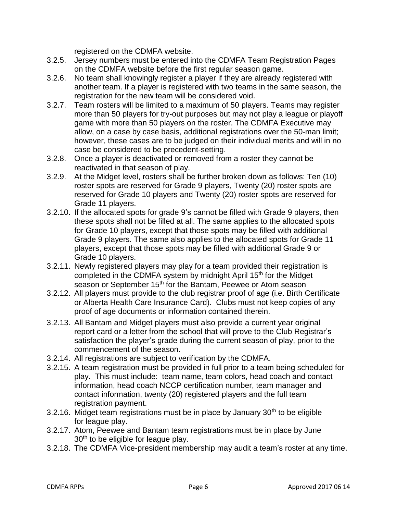registered on the CDMFA website.

- 3.2.5. Jersey numbers must be entered into the CDMFA Team Registration Pages on the CDMFA website before the first regular season game.
- 3.2.6. No team shall knowingly register a player if they are already registered with another team. If a player is registered with two teams in the same season, the registration for the new team will be considered void.
- 3.2.7. Team rosters will be limited to a maximum of 50 players. Teams may register more than 50 players for try-out purposes but may not play a league or playoff game with more than 50 players on the roster. The CDMFA Executive may allow, on a case by case basis, additional registrations over the 50-man limit; however, these cases are to be judged on their individual merits and will in no case be considered to be precedent-setting.
- 3.2.8. Once a player is deactivated or removed from a roster they cannot be reactivated in that season of play.
- 3.2.9. At the Midget level, rosters shall be further broken down as follows: Ten (10) roster spots are reserved for Grade 9 players, Twenty (20) roster spots are reserved for Grade 10 players and Twenty (20) roster spots are reserved for Grade 11 players.
- 3.2.10. If the allocated spots for grade 9's cannot be filled with Grade 9 players, then these spots shall not be filled at all. The same applies to the allocated spots for Grade 10 players, except that those spots may be filled with additional Grade 9 players. The same also applies to the allocated spots for Grade 11 players, except that those spots may be filled with additional Grade 9 or Grade 10 players.
- 3.2.11. Newly registered players may play for a team provided their registration is completed in the CDMFA system by midnight April 15<sup>th</sup> for the Midget season or September 15<sup>th</sup> for the Bantam, Peewee or Atom season
- 3.2.12. All players must provide to the club registrar proof of age (i.e. Birth Certificate or Alberta Health Care Insurance Card). Clubs must not keep copies of any proof of age documents or information contained therein.
- 3.2.13. All Bantam and Midget players must also provide a current year original report card or a letter from the school that will prove to the Club Registrar's satisfaction the player's grade during the current season of play, prior to the commencement of the season.
- 3.2.14. All registrations are subject to verification by the CDMFA.
- 3.2.15. A team registration must be provided in full prior to a team being scheduled for play. This must include: team name, team colors, head coach and contact information, head coach NCCP certification number, team manager and contact information, twenty (20) registered players and the full team registration payment.
- 3.2.16. Midget team registrations must be in place by January 30<sup>th</sup> to be eligible for league play.
- 3.2.17. Atom, Peewee and Bantam team registrations must be in place by June 30<sup>th</sup> to be eligible for league play.
- 3.2.18. The CDMFA Vice-president membership may audit a team's roster at any time.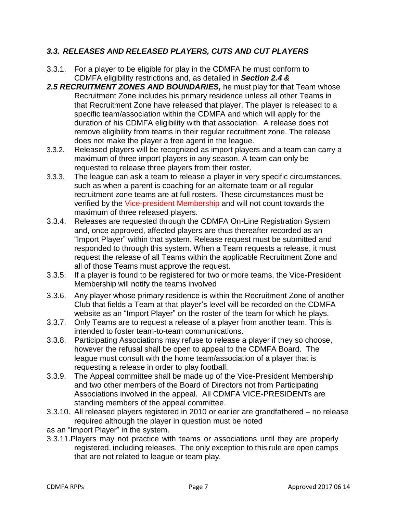# *3.3. RELEASES AND RELEASED PLAYERS, CUTS AND CUT PLAYERS*

- 3.3.1. For a player to be eligible for play in the CDMFA he must conform to CDMFA eligibility restrictions and, as detailed in *Section 2.4 &*
- *2.5 RECRUITMENT ZONES AND BOUNDARIES,* he must play for that Team whose Recruitment Zone includes his primary residence unless all other Teams in that Recruitment Zone have released that player. The player is released to a specific team/association within the CDMFA and which will apply for the duration of his CDMFA eligibility with that association. A release does not remove eligibility from teams in their regular recruitment zone. The release does not make the player a free agent in the league.
- 3.3.2. Released players will be recognized as import players and a team can carry a maximum of three import players in any season. A team can only be requested to release three players from their roster.
- 3.3.3. The league can ask a team to release a player in very specific circumstances, such as when a parent is coaching for an alternate team or all regular recruitment zone teams are at full rosters. These circumstances must be verified by the Vice-president Membership and will not count towards the maximum of three released players.
- 3.3.4. Releases are requested through the CDMFA On-Line Registration System and, once approved, affected players are thus thereafter recorded as an "Import Player" within that system. Release request must be submitted and responded to through this system. When a Team requests a release, it must request the release of all Teams within the applicable Recruitment Zone and all of those Teams must approve the request.
- 3.3.5. If a player is found to be registered for two or more teams, the Vice-President Membership will notify the teams involved
- 3.3.6. Any player whose primary residence is within the Recruitment Zone of another Club that fields a Team at that player's level will be recorded on the CDMFA website as an "Import Player" on the roster of the team for which he plays.
- 3.3.7. Only Teams are to request a release of a player from another team. This is intended to foster team-to-team communications.
- 3.3.8. Participating Associations may refuse to release a player if they so choose, however the refusal shall be open to appeal to the CDMFA Board. The league must consult with the home team/association of a player that is requesting a release in order to play football.
- 3.3.9. The Appeal committee shall be made up of the Vice-President Membership and two other members of the Board of Directors not from Participating Associations involved in the appeal. All CDMFA VICE-PRESIDENTs are standing members of the appeal committee.
- 3.3.10. All released players registered in 2010 or earlier are grandfathered no release required although the player in question must be noted
- as an "Import Player" in the system.
- 3.3.11.Players may not practice with teams or associations until they are properly registered, including releases. The only exception to this rule are open camps that are not related to league or team play.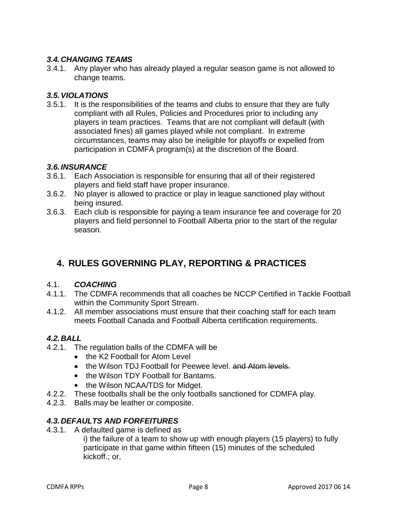# *3.4.CHANGING TEAMS*

3.4.1. Any player who has already played a regular season game is not allowed to change teams.

## *3.5.VIOLATIONS*

3.5.1. It is the responsibilities of the teams and clubs to ensure that they are fully compliant with all Rules, Policies and Procedures prior to including any players in team practices. Teams that are not compliant will default (with associated fines) all games played while not compliant. In extreme circumstances, teams may also be ineligible for playoffs or expelled from participation in CDMFA program(s) at the discretion of the Board.

#### *3.6.INSURANCE*

- 3.6.1. Each Association is responsible for ensuring that all of their registered players and field staff have proper insurance.
- 3.6.2. No player is allowed to practice or play in league sanctioned play without being insured.
- 3.6.3. Each club is responsible for paying a team insurance fee and coverage for 20 players and field personnel to Football Alberta prior to the start of the regular season.

# **4. RULES GOVERNING PLAY, REPORTING & PRACTICES**

#### 4.1. *COACHING*

- 4.1.1. The CDMFA recommends that all coaches be NCCP Certified in Tackle Football within the Community Sport Stream.
- 4.1.2. All member associations must ensure that their coaching staff for each team meets Football Canada and Football Alberta certification requirements.

# *4.2.BALL*

- 4.2.1. The regulation balls of the CDMFA will be
	- the K2 Football for Atom Level
	- the Wilson TDJ Football for Peewee level. and Atom levels.
	- the Wilson TDY Football for Bantams.
	- the Wilson NCAA/TDS for Midget.
- 4.2.2. These footballs shall be the only footballs sanctioned for CDMFA play.
- 4.2.3. Balls may be leather or composite.

# *4.3.DEFAULTS AND FORFEITURES*

4.3.1. A defaulted game is defined as

i) the failure of a team to show up with enough players (15 players) to fully participate in that game within fifteen (15) minutes of the scheduled kickoff.; or,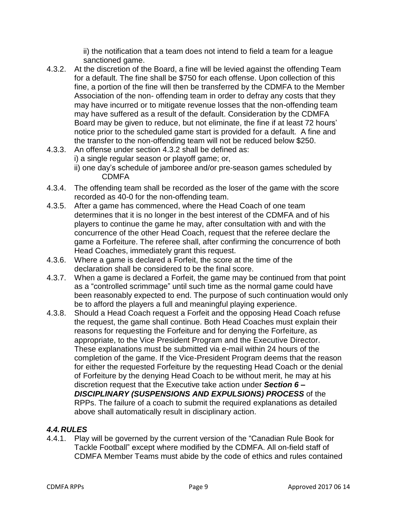ii) the notification that a team does not intend to field a team for a league sanctioned game.

- 4.3.2. At the discretion of the Board, a fine will be levied against the offending Team for a default. The fine shall be \$750 for each offense. Upon collection of this fine, a portion of the fine will then be transferred by the CDMFA to the Member Association of the non- offending team in order to defray any costs that they may have incurred or to mitigate revenue losses that the non-offending team may have suffered as a result of the default. Consideration by the CDMFA Board may be given to reduce, but not eliminate, the fine if at least 72 hours' notice prior to the scheduled game start is provided for a default. A fine and the transfer to the non-offending team will not be reduced below \$250.
- 4.3.3. An offense under section 4.3.2 shall be defined as: i) a single regular season or playoff game; or, ii) one day's schedule of jamboree and/or pre-season games scheduled by CDMFA
- 4.3.4. The offending team shall be recorded as the loser of the game with the score recorded as 40-0 for the non-offending team.
- 4.3.5. After a game has commenced, where the Head Coach of one team determines that it is no longer in the best interest of the CDMFA and of his players to continue the game he may, after consultation with and with the concurrence of the other Head Coach, request that the referee declare the game a Forfeiture. The referee shall, after confirming the concurrence of both Head Coaches, immediately grant this request.
- 4.3.6. Where a game is declared a Forfeit, the score at the time of the declaration shall be considered to be the final score.
- 4.3.7. When a game is declared a Forfeit, the game may be continued from that point as a "controlled scrimmage" until such time as the normal game could have been reasonably expected to end. The purpose of such continuation would only be to afford the players a full and meaningful playing experience.
- 4.3.8. Should a Head Coach request a Forfeit and the opposing Head Coach refuse the request, the game shall continue. Both Head Coaches must explain their reasons for requesting the Forfeiture and for denying the Forfeiture, as appropriate, to the Vice President Program and the Executive Director. These explanations must be submitted via e-mail within 24 hours of the completion of the game. If the Vice-President Program deems that the reason for either the requested Forfeiture by the requesting Head Coach or the denial of Forfeiture by the denying Head Coach to be without merit, he may at his discretion request that the Executive take action under *Section 6 – DISCIPLINARY (SUSPENSIONS AND EXPULSIONS) PROCESS* of the RPPs. The failure of a coach to submit the required explanations as detailed above shall automatically result in disciplinary action.

# *4.4.RULES*

4.4.1. Play will be governed by the current version of the "Canadian Rule Book for Tackle Football" except where modified by the CDMFA. All on-field staff of CDMFA Member Teams must abide by the code of ethics and rules contained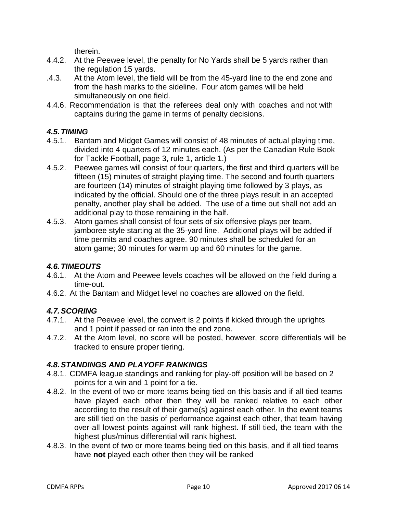therein.

- 4.4.2. At the Peewee level, the penalty for No Yards shall be 5 yards rather than the regulation 15 yards.
- .4.3. At the Atom level, the field will be from the 45-yard line to the end zone and from the hash marks to the sideline. Four atom games will be held simultaneously on one field.
- 4.4.6. Recommendation is that the referees deal only with coaches and not with captains during the game in terms of penalty decisions.

# *4.5.TIMING*

- 4.5.1. Bantam and Midget Games will consist of 48 minutes of actual playing time, divided into 4 quarters of 12 minutes each. (As per the Canadian Rule Book for Tackle Football, page 3, rule 1, article 1.)
- 4.5.2. Peewee games will consist of four quarters, the first and third quarters will be fifteen (15) minutes of straight playing time. The second and fourth quarters are fourteen (14) minutes of straight playing time followed by 3 plays, as indicated by the official. Should one of the three plays result in an accepted penalty, another play shall be added. The use of a time out shall not add an additional play to those remaining in the half.
- 4.5.3. Atom games shall consist of four sets of six offensive plays per team, jamboree style starting at the 35-yard line. Additional plays will be added if time permits and coaches agree. 90 minutes shall be scheduled for an atom game; 30 minutes for warm up and 60 minutes for the game.

# *4.6.TIMEOUTS*

- 4.6.1. At the Atom and Peewee levels coaches will be allowed on the field during a time-out.
- 4.6.2. At the Bantam and Midget level no coaches are allowed on the field.

# *4.7.SCORING*

- 4.7.1. At the Peewee level, the convert is 2 points if kicked through the uprights and 1 point if passed or ran into the end zone.
- 4.7.2. At the Atom level, no score will be posted, however, score differentials will be tracked to ensure proper tiering.

# *4.8.STANDINGS AND PLAYOFF RANKINGS*

- 4.8.1. CDMFA league standings and ranking for play-off position will be based on 2 points for a win and 1 point for a tie.
- 4.8.2. In the event of two or more teams being tied on this basis and if all tied teams have played each other then they will be ranked relative to each other according to the result of their game(s) against each other. In the event teams are still tied on the basis of performance against each other, that team having over-all lowest points against will rank highest. If still tied, the team with the highest plus/minus differential will rank highest.
- 4.8.3. In the event of two or more teams being tied on this basis, and if all tied teams have **not** played each other then they will be ranked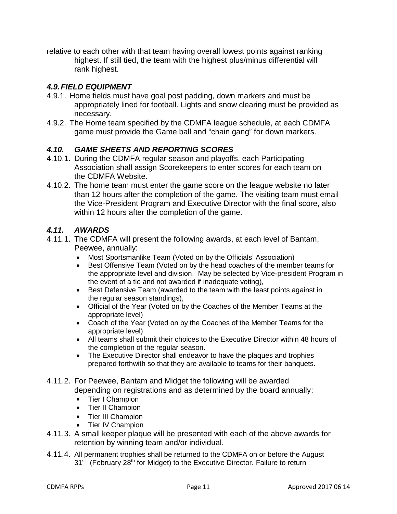relative to each other with that team having overall lowest points against ranking highest. If still tied, the team with the highest plus/minus differential will rank highest.

## *4.9.FIELD EQUIPMENT*

- 4.9.1. Home fields must have goal post padding, down markers and must be appropriately lined for football. Lights and snow clearing must be provided as necessary.
- 4.9.2. The Home team specified by the CDMFA league schedule, at each CDMFA game must provide the Game ball and "chain gang" for down markers.

## *4.10. GAME SHEETS AND REPORTING SCORES*

- 4.10.1. During the CDMFA regular season and playoffs, each Participating Association shall assign Scorekeepers to enter scores for each team on the CDMFA Website.
- 4.10.2. The home team must enter the game score on the league website no later than 12 hours after the completion of the game. The visiting team must email the Vice-President Program and Executive Director with the final score, also within 12 hours after the completion of the game.

# *4.11. AWARDS*

- 4.11.1. The CDMFA will present the following awards, at each level of Bantam, Peewee, annually:
	- Most Sportsmanlike Team (Voted on by the Officials' Association)
	- Best Offensive Team (Voted on by the head coaches of the member teams for the appropriate level and division. May be selected by Vice-president Program in the event of a tie and not awarded if inadequate voting),
	- Best Defensive Team (awarded to the team with the least points against in the regular season standings),
	- Official of the Year (Voted on by the Coaches of the Member Teams at the appropriate level)
	- Coach of the Year (Voted on by the Coaches of the Member Teams for the appropriate level)
	- All teams shall submit their choices to the Executive Director within 48 hours of the completion of the regular season.
	- The Executive Director shall endeavor to have the plaques and trophies prepared forthwith so that they are available to teams for their banquets.
- 4.11.2. For Peewee, Bantam and Midget the following will be awarded depending on registrations and as determined by the board annually:
	- Tier I Champion
	- Tier II Champion
	- Tier III Champion
	- Tier IV Champion
- 4.11.3. A small keeper plaque will be presented with each of the above awards for retention by winning team and/or individual.
- 4.11.4. All permanent trophies shall be returned to the CDMFA on or before the August 31<sup>st</sup> (February 28<sup>th</sup> for Midget) to the Executive Director. Failure to return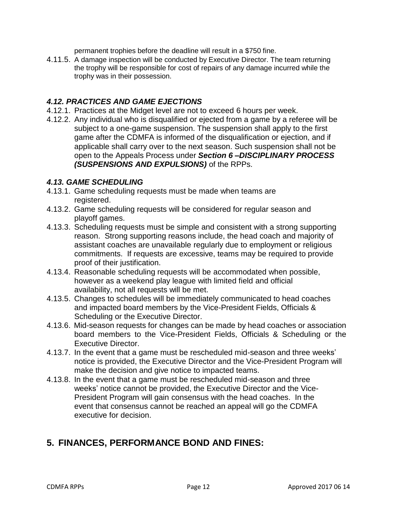permanent trophies before the deadline will result in a \$750 fine.

4.11.5. A damage inspection will be conducted by Executive Director. The team returning the trophy will be responsible for cost of repairs of any damage incurred while the trophy was in their possession.

## *4.12. PRACTICES AND GAME EJECTIONS*

- 4.12.1. Practices at the Midget level are not to exceed 6 hours per week.
- 4.12.2. Any individual who is disqualified or ejected from a game by a referee will be subject to a one-game suspension. The suspension shall apply to the first game after the CDMFA is informed of the disqualification or ejection, and if applicable shall carry over to the next season. Such suspension shall not be open to the Appeals Process under *Section 6 –DISCIPLINARY PROCESS (SUSPENSIONS AND EXPULSIONS)* of the RPPs.

#### *4.13. GAME SCHEDULING*

- 4.13.1. Game scheduling requests must be made when teams are registered.
- 4.13.2. Game scheduling requests will be considered for regular season and playoff games.
- 4.13.3. Scheduling requests must be simple and consistent with a strong supporting reason. Strong supporting reasons include, the head coach and majority of assistant coaches are unavailable regularly due to employment or religious commitments. If requests are excessive, teams may be required to provide proof of their justification.
- 4.13.4. Reasonable scheduling requests will be accommodated when possible, however as a weekend play league with limited field and official availability, not all requests will be met.
- 4.13.5. Changes to schedules will be immediately communicated to head coaches and impacted board members by the Vice-President Fields, Officials & Scheduling or the Executive Director.
- 4.13.6. Mid-season requests for changes can be made by head coaches or association board members to the Vice-President Fields, Officials & Scheduling or the Executive Director.
- 4.13.7. In the event that a game must be rescheduled mid-season and three weeks' notice is provided, the Executive Director and the Vice-President Program will make the decision and give notice to impacted teams.
- 4.13.8. In the event that a game must be rescheduled mid-season and three weeks' notice cannot be provided, the Executive Director and the Vice-President Program will gain consensus with the head coaches. In the event that consensus cannot be reached an appeal will go the CDMFA executive for decision.

# **5. FINANCES, PERFORMANCE BOND AND FINES:**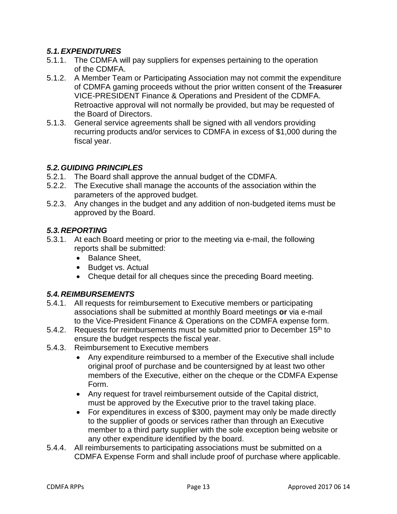# *5.1.EXPENDITURES*

- 5.1.1. The CDMFA will pay suppliers for expenses pertaining to the operation of the CDMFA.
- 5.1.2. A Member Team or Participating Association may not commit the expenditure of CDMFA gaming proceeds without the prior written consent of the Treasurer VICE-PRESIDENT Finance & Operations and President of the CDMFA. Retroactive approval will not normally be provided, but may be requested of the Board of Directors.
- 5.1.3. General service agreements shall be signed with all vendors providing recurring products and/or services to CDMFA in excess of \$1,000 during the fiscal year.

## *5.2.GUIDING PRINCIPLES*

- 5.2.1. The Board shall approve the annual budget of the CDMFA.
- 5.2.2. The Executive shall manage the accounts of the association within the parameters of the approved budget.
- 5.2.3. Any changes in the budget and any addition of non-budgeted items must be approved by the Board.

## *5.3.REPORTING*

- 5.3.1. At each Board meeting or prior to the meeting via e-mail, the following reports shall be submitted:
	- Balance Sheet.
	- Budget vs. Actual
	- Cheque detail for all cheques since the preceding Board meeting.

# *5.4.REIMBURSEMENTS*

- 5.4.1. All requests for reimbursement to Executive members or participating associations shall be submitted at monthly Board meetings **or** via e-mail to the Vice-President Finance & Operations on the CDMFA expense form.
- 5.4.2. Requests for reimbursements must be submitted prior to December 15<sup>th</sup> to ensure the budget respects the fiscal year.
- 5.4.3. Reimbursement to Executive members
	- Any expenditure reimbursed to a member of the Executive shall include original proof of purchase and be countersigned by at least two other members of the Executive, either on the cheque or the CDMFA Expense Form.
	- Any request for travel reimbursement outside of the Capital district, must be approved by the Executive prior to the travel taking place.
	- For expenditures in excess of \$300, payment may only be made directly to the supplier of goods or services rather than through an Executive member to a third party supplier with the sole exception being website or any other expenditure identified by the board.
- 5.4.4. All reimbursements to participating associations must be submitted on a CDMFA Expense Form and shall include proof of purchase where applicable.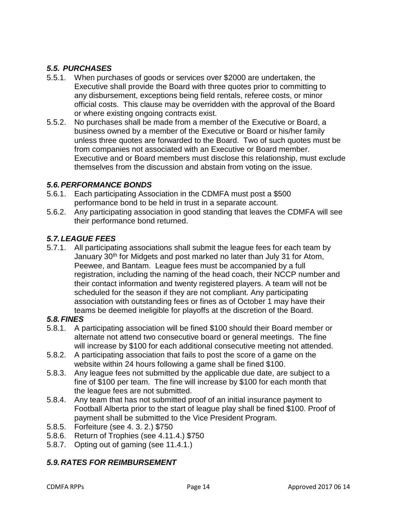# *5.5. PURCHASES*

- 5.5.1. When purchases of goods or services over \$2000 are undertaken, the Executive shall provide the Board with three quotes prior to committing to any disbursement, exceptions being field rentals, referee costs, or minor official costs. This clause may be overridden with the approval of the Board or where existing ongoing contracts exist.
- 5.5.2. No purchases shall be made from a member of the Executive or Board, a business owned by a member of the Executive or Board or his/her family unless three quotes are forwarded to the Board. Two of such quotes must be from companies not associated with an Executive or Board member. Executive and or Board members must disclose this relationship, must exclude themselves from the discussion and abstain from voting on the issue.

## *5.6.PERFORMANCE BONDS*

- 5.6.1. Each participating Association in the CDMFA must post a \$500 performance bond to be held in trust in a separate account.
- 5.6.2. Any participating association in good standing that leaves the CDMFA will see their performance bond returned.

# *5.7.LEAGUE FEES*

5.7.1. All participating associations shall submit the league fees for each team by January 30<sup>th</sup> for Midgets and post marked no later than July 31 for Atom, Peewee, and Bantam. League fees must be accompanied by a full registration, including the naming of the head coach, their NCCP number and their contact information and twenty registered players. A team will not be scheduled for the season if they are not compliant. Any participating association with outstanding fees or fines as of October 1 may have their teams be deemed ineligible for playoffs at the discretion of the Board.

#### *5.8.FINES*

- 5.8.1. A participating association will be fined \$100 should their Board member or alternate not attend two consecutive board or general meetings. The fine will increase by \$100 for each additional consecutive meeting not attended.
- 5.8.2. A participating association that fails to post the score of a game on the website within 24 hours following a game shall be fined \$100.
- 5.8.3. Any league fees not submitted by the applicable due date, are subject to a fine of \$100 per team. The fine will increase by \$100 for each month that the league fees are not submitted.
- 5.8.4. Any team that has not submitted proof of an initial insurance payment to Football Alberta prior to the start of league play shall be fined \$100. Proof of payment shall be submitted to the Vice President Program.
- 5.8.5. Forfeiture (see 4. 3. 2.) \$750
- 5.8.6. Return of Trophies (see 4.11.4.) \$750
- 5.8.7. Opting out of gaming (see 11.4.1.)

#### *5.9.RATES FOR REIMBURSEMENT*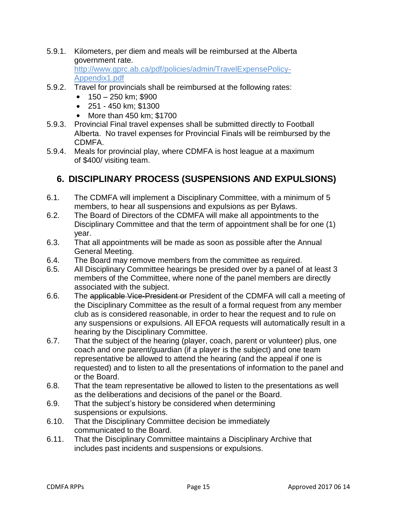5.9.1. Kilometers, per diem and meals will be reimbursed at the Alberta government rate. [http://www.gprc.ab.ca/pdf/policies/admin/TravelExpensePolicy-](http://www.gprc.ab.ca/pdf/policies/admin/TravelExpensePolicy-Appendix1.pdf)

[Appendix1.pdf](http://www.gprc.ab.ca/pdf/policies/admin/TravelExpensePolicy-Appendix1.pdf)

- 5.9.2. Travel for provincials shall be reimbursed at the following rates:
	- $\bullet$  150 250 km; \$900
	- 251 450 km; \$1300
	- More than 450 km; \$1700
- 5.9.3. Provincial Final travel expenses shall be submitted directly to Football Alberta. No travel expenses for Provincial Finals will be reimbursed by the CDMFA.
- 5.9.4. Meals for provincial play, where CDMFA is host league at a maximum of \$400/ visiting team.

# **6. DISCIPLINARY PROCESS (SUSPENSIONS AND EXPULSIONS)**

- 6.1. The CDMFA will implement a Disciplinary Committee, with a minimum of 5 members, to hear all suspensions and expulsions as per Bylaws.
- 6.2. The Board of Directors of the CDMFA will make all appointments to the Disciplinary Committee and that the term of appointment shall be for one (1) year.
- 6.3. That all appointments will be made as soon as possible after the Annual General Meeting.
- 6.4. The Board may remove members from the committee as required.
- 6.5. All Disciplinary Committee hearings be presided over by a panel of at least 3 members of the Committee, where none of the panel members are directly associated with the subject.
- 6.6. The applicable Vice-President or President of the CDMFA will call a meeting of the Disciplinary Committee as the result of a formal request from any member club as is considered reasonable, in order to hear the request and to rule on any suspensions or expulsions. All EFOA requests will automatically result in a hearing by the Disciplinary Committee.
- 6.7. That the subject of the hearing (player, coach, parent or volunteer) plus, one coach and one parent/guardian (if a player is the subject) and one team representative be allowed to attend the hearing (and the appeal if one is requested) and to listen to all the presentations of information to the panel and or the Board.
- 6.8. That the team representative be allowed to listen to the presentations as well as the deliberations and decisions of the panel or the Board.
- 6.9. That the subject's history be considered when determining suspensions or expulsions.
- 6.10. That the Disciplinary Committee decision be immediately communicated to the Board.
- 6.11. That the Disciplinary Committee maintains a Disciplinary Archive that includes past incidents and suspensions or expulsions.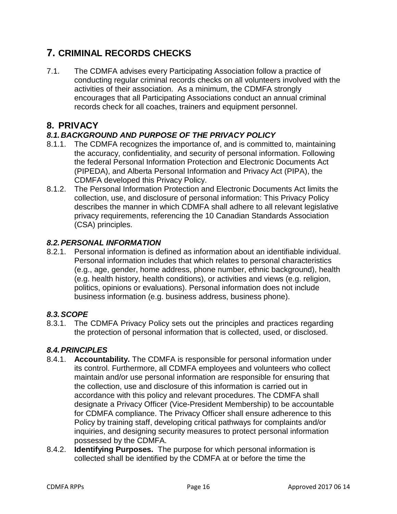# **7. CRIMINAL RECORDS CHECKS**

7.1. The CDMFA advises every Participating Association follow a practice of conducting regular criminal records checks on all volunteers involved with the activities of their association. As a minimum, the CDMFA strongly encourages that all Participating Associations conduct an annual criminal records check for all coaches, trainers and equipment personnel.

# **8. PRIVACY**

# *8.1.BACKGROUND AND PURPOSE OF THE PRIVACY POLICY*

- 8.1.1. The CDMFA recognizes the importance of, and is committed to, maintaining the accuracy, confidentiality, and security of personal information. Following the federal Personal Information Protection and Electronic Documents Act (PIPEDA), and Alberta Personal Information and Privacy Act (PIPA), the CDMFA developed this Privacy Policy.
- 8.1.2. The Personal Information Protection and Electronic Documents Act limits the collection, use, and disclosure of personal information: This Privacy Policy describes the manner in which CDMFA shall adhere to all relevant legislative privacy requirements, referencing the 10 Canadian Standards Association (CSA) principles.

# *8.2.PERSONAL INFORMATION*

8.2.1. Personal information is defined as information about an identifiable individual. Personal information includes that which relates to personal characteristics (e.g., age, gender, home address, phone number, ethnic background), health (e.g. health history, health conditions), or activities and views (e.g. religion, politics, opinions or evaluations). Personal information does not include business information (e.g. business address, business phone).

# *8.3.SCOPE*

8.3.1. The CDMFA Privacy Policy sets out the principles and practices regarding the protection of personal information that is collected, used, or disclosed.

# *8.4.PRINCIPLES*

- 8.4.1. **Accountability.** The CDMFA is responsible for personal information under its control. Furthermore, all CDMFA employees and volunteers who collect maintain and/or use personal information are responsible for ensuring that the collection, use and disclosure of this information is carried out in accordance with this policy and relevant procedures. The CDMFA shall designate a Privacy Officer (Vice-President Membership) to be accountable for CDMFA compliance. The Privacy Officer shall ensure adherence to this Policy by training staff, developing critical pathways for complaints and/or inquiries, and designing security measures to protect personal information possessed by the CDMFA.
- 8.4.2. **Identifying Purposes.** The purpose for which personal information is collected shall be identified by the CDMFA at or before the time the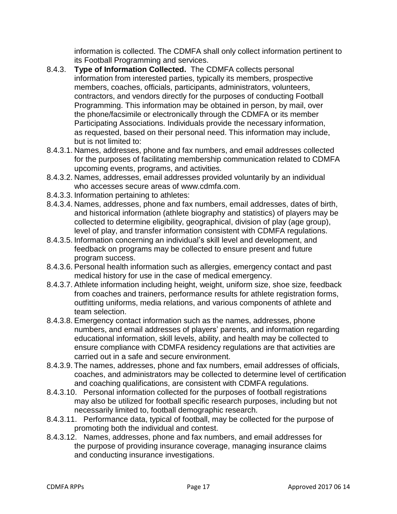information is collected. The CDMFA shall only collect information pertinent to its Football Programming and services.

- 8.4.3. **Type of Information Collected.** The CDMFA collects personal information from interested parties, typically its members, prospective members, coaches, officials, participants, administrators, volunteers, contractors, and vendors directly for the purposes of conducting Football Programming. This information may be obtained in person, by mail, over the phone/facsimile or electronically through the CDMFA or its member Participating Associations. Individuals provide the necessary information, as requested, based on their personal need. This information may include, but is not limited to:
- 8.4.3.1. Names, addresses, phone and fax numbers, and email addresses collected for the purposes of facilitating membership communication related to CDMFA upcoming events, programs, and activities.
- 8.4.3.2. Names, addresses, email addresses provided voluntarily by an individual who accesses secure areas of [www.cdmfa.com.](http://www.cdmfa.com/)
- 8.4.3.3. Information pertaining to athletes:
- 8.4.3.4. Names, addresses, phone and fax numbers, email addresses, dates of birth, and historical information (athlete biography and statistics) of players may be collected to determine eligibility, geographical, division of play (age group), level of play, and transfer information consistent with CDMFA regulations.
- 8.4.3.5. Information concerning an individual's skill level and development, and feedback on programs may be collected to ensure present and future program success.
- 8.4.3.6. Personal health information such as allergies, emergency contact and past medical history for use in the case of medical emergency.
- 8.4.3.7. Athlete information including height, weight, uniform size, shoe size, feedback from coaches and trainers, performance results for athlete registration forms, outfitting uniforms, media relations, and various components of athlete and team selection.
- 8.4.3.8. Emergency contact information such as the names, addresses, phone numbers, and email addresses of players' parents, and information regarding educational information, skill levels, ability, and health may be collected to ensure compliance with CDMFA residency regulations are that activities are carried out in a safe and secure environment.
- 8.4.3.9. The names, addresses, phone and fax numbers, email addresses of officials, coaches, and administrators may be collected to determine level of certification and coaching qualifications, are consistent with CDMFA regulations.
- 8.4.3.10. Personal information collected for the purposes of football registrations may also be utilized for football specific research purposes, including but not necessarily limited to, football demographic research.
- 8.4.3.11. Performance data, typical of football, may be collected for the purpose of promoting both the individual and contest.
- 8.4.3.12. Names, addresses, phone and fax numbers, and email addresses for the purpose of providing insurance coverage, managing insurance claims and conducting insurance investigations.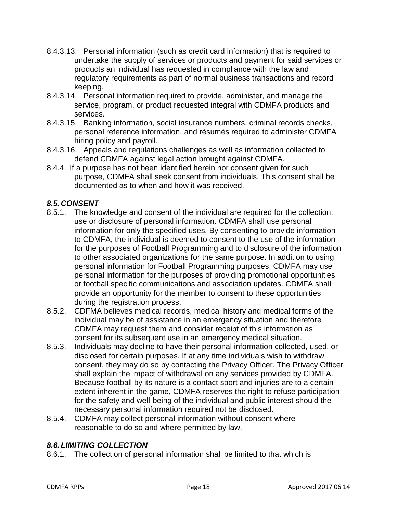- 8.4.3.13. Personal information (such as credit card information) that is required to undertake the supply of services or products and payment for said services or products an individual has requested in compliance with the law and regulatory requirements as part of normal business transactions and record keeping.
- 8.4.3.14. Personal information required to provide, administer, and manage the service, program, or product requested integral with CDMFA products and services.
- 8.4.3.15. Banking information, social insurance numbers, criminal records checks, personal reference information, and résumés required to administer CDMFA hiring policy and payroll.
- 8.4.3.16. Appeals and regulations challenges as well as information collected to defend CDMFA against legal action brought against CDMFA.
- 8.4.4. If a purpose has not been identified herein nor consent given for such purpose, CDMFA shall seek consent from individuals. This consent shall be documented as to when and how it was received.

# *8.5.CONSENT*

- 8.5.1. The knowledge and consent of the individual are required for the collection, use or disclosure of personal information. CDMFA shall use personal information for only the specified uses. By consenting to provide information to CDMFA, the individual is deemed to consent to the use of the information for the purposes of Football Programming and to disclosure of the information to other associated organizations for the same purpose. In addition to using personal information for Football Programming purposes, CDMFA may use personal information for the purposes of providing promotional opportunities or football specific communications and association updates. CDMFA shall provide an opportunity for the member to consent to these opportunities during the registration process.
- 8.5.2. CDFMA believes medical records, medical history and medical forms of the individual may be of assistance in an emergency situation and therefore CDMFA may request them and consider receipt of this information as consent for its subsequent use in an emergency medical situation.
- 8.5.3. Individuals may decline to have their personal information collected, used, or disclosed for certain purposes. If at any time individuals wish to withdraw consent, they may do so by contacting the Privacy Officer. The Privacy Officer shall explain the impact of withdrawal on any services provided by CDMFA. Because football by its nature is a contact sport and injuries are to a certain extent inherent in the game, CDMFA reserves the right to refuse participation for the safety and well-being of the individual and public interest should the necessary personal information required not be disclosed.
- 8.5.4. CDMFA may collect personal information without consent where reasonable to do so and where permitted by law.

#### *8.6.LIMITING COLLECTION*

8.6.1. The collection of personal information shall be limited to that which is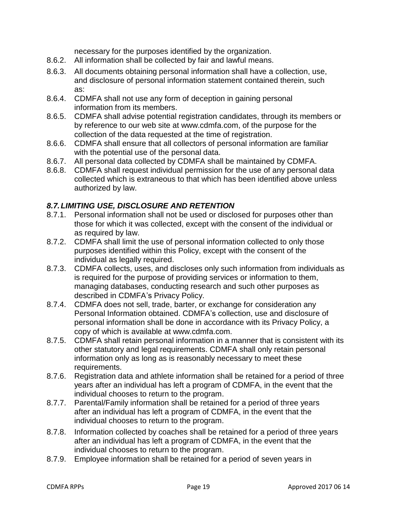necessary for the purposes identified by the organization.

- 8.6.2. All information shall be collected by fair and lawful means.
- 8.6.3. All documents obtaining personal information shall have a collection, use, and disclosure of personal information statement contained therein, such as:
- 8.6.4. CDMFA shall not use any form of deception in gaining personal information from its members.
- 8.6.5. CDMFA shall advise potential registration candidates, through its members or by reference to our web site at [www.cdmfa.com,](http://www.cdmfa.com/) of the purpose for the collection of the data requested at the time of registration.
- 8.6.6. CDMFA shall ensure that all collectors of personal information are familiar with the potential use of the personal data.
- 8.6.7. All personal data collected by CDMFA shall be maintained by CDMFA.
- 8.6.8. CDMFA shall request individual permission for the use of any personal data collected which is extraneous to that which has been identified above unless authorized by law.

# *8.7.LIMITING USE, DISCLOSURE AND RETENTION*

- 8.7.1. Personal information shall not be used or disclosed for purposes other than those for which it was collected, except with the consent of the individual or as required by law.
- 8.7.2. CDMFA shall limit the use of personal information collected to only those purposes identified within this Policy, except with the consent of the individual as legally required.
- 8.7.3. CDMFA collects, uses, and discloses only such information from individuals as is required for the purpose of providing services or information to them, managing databases, conducting research and such other purposes as described in CDMFA's Privacy Policy.
- 8.7.4. CDMFA does not sell, trade, barter, or exchange for consideration any Personal Information obtained. CDMFA's collection, use and disclosure of personal information shall be done in accordance with its Privacy Policy, a copy of which is available at [www.cdmfa.com.](http://www.cdmfa.com/)
- 8.7.5. CDMFA shall retain personal information in a manner that is consistent with its other statutory and legal requirements. CDMFA shall only retain personal information only as long as is reasonably necessary to meet these requirements.
- 8.7.6. Registration data and athlete information shall be retained for a period of three years after an individual has left a program of CDMFA, in the event that the individual chooses to return to the program.
- 8.7.7. Parental/Family information shall be retained for a period of three years after an individual has left a program of CDMFA, in the event that the individual chooses to return to the program.
- 8.7.8. Information collected by coaches shall be retained for a period of three years after an individual has left a program of CDMFA, in the event that the individual chooses to return to the program.
- 8.7.9. Employee information shall be retained for a period of seven years in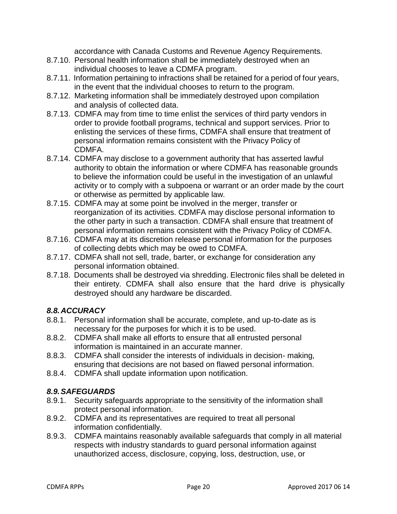accordance with Canada Customs and Revenue Agency Requirements.

- 8.7.10. Personal health information shall be immediately destroyed when an individual chooses to leave a CDMFA program.
- 8.7.11. Information pertaining to infractions shall be retained for a period of four years, in the event that the individual chooses to return to the program.
- 8.7.12. Marketing information shall be immediately destroyed upon compilation and analysis of collected data.
- 8.7.13. CDMFA may from time to time enlist the services of third party vendors in order to provide football programs, technical and support services. Prior to enlisting the services of these firms, CDMFA shall ensure that treatment of personal information remains consistent with the Privacy Policy of CDMFA.
- 8.7.14. CDMFA may disclose to a government authority that has asserted lawful authority to obtain the information or where CDMFA has reasonable grounds to believe the information could be useful in the investigation of an unlawful activity or to comply with a subpoena or warrant or an order made by the court or otherwise as permitted by applicable law.
- 8.7.15. CDMFA may at some point be involved in the merger, transfer or reorganization of its activities. CDMFA may disclose personal information to the other party in such a transaction. CDMFA shall ensure that treatment of personal information remains consistent with the Privacy Policy of CDMFA.
- 8.7.16. CDMFA may at its discretion release personal information for the purposes of collecting debts which may be owed to CDMFA.
- 8.7.17. CDMFA shall not sell, trade, barter, or exchange for consideration any personal information obtained.
- 8.7.18. Documents shall be destroyed via shredding. Electronic files shall be deleted in their entirety. CDMFA shall also ensure that the hard drive is physically destroyed should any hardware be discarded.

#### *8.8.ACCURACY*

- 8.8.1. Personal information shall be accurate, complete, and up-to-date as is necessary for the purposes for which it is to be used.
- 8.8.2. CDMFA shall make all efforts to ensure that all entrusted personal information is maintained in an accurate manner.
- 8.8.3. CDMFA shall consider the interests of individuals in decision- making, ensuring that decisions are not based on flawed personal information.
- 8.8.4. CDMFA shall update information upon notification.

# *8.9.SAFEGUARDS*

- 8.9.1. Security safeguards appropriate to the sensitivity of the information shall protect personal information.
- 8.9.2. CDMFA and its representatives are required to treat all personal information confidentially.
- 8.9.3. CDMFA maintains reasonably available safeguards that comply in all material respects with industry standards to guard personal information against unauthorized access, disclosure, copying, loss, destruction, use, or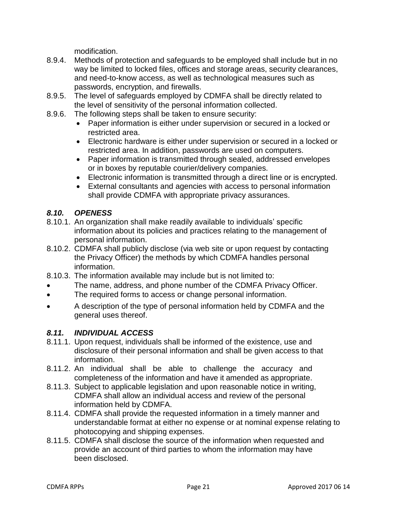modification.

- 8.9.4. Methods of protection and safeguards to be employed shall include but in no way be limited to locked files, offices and storage areas, security clearances, and need-to-know access, as well as technological measures such as passwords, encryption, and firewalls.
- 8.9.5. The level of safeguards employed by CDMFA shall be directly related to the level of sensitivity of the personal information collected.
- 8.9.6. The following steps shall be taken to ensure security:
	- Paper information is either under supervision or secured in a locked or restricted area.
	- Electronic hardware is either under supervision or secured in a locked or restricted area. In addition, passwords are used on computers.
	- Paper information is transmitted through sealed, addressed envelopes or in boxes by reputable courier/delivery companies.
	- Electronic information is transmitted through a direct line or is encrypted.
	- External consultants and agencies with access to personal information shall provide CDMFA with appropriate privacy assurances.

# *8.10. OPENESS*

- 8.10.1. An organization shall make readily available to individuals' specific information about its policies and practices relating to the management of personal information.
- 8.10.2. CDMFA shall publicly disclose (via web site or upon request by contacting the Privacy Officer) the methods by which CDMFA handles personal information.
- 8.10.3. The information available may include but is not limited to:
- The name, address, and phone number of the CDMFA Privacy Officer.
- The required forms to access or change personal information.
- A description of the type of personal information held by CDMFA and the general uses thereof.

# *8.11. INDIVIDUAL ACCESS*

- 8.11.1. Upon request, individuals shall be informed of the existence, use and disclosure of their personal information and shall be given access to that information.
- 8.11.2. An individual shall be able to challenge the accuracy and completeness of the information and have it amended as appropriate.
- 8.11.3. Subject to applicable legislation and upon reasonable notice in writing, CDMFA shall allow an individual access and review of the personal information held by CDMFA.
- 8.11.4. CDMFA shall provide the requested information in a timely manner and understandable format at either no expense or at nominal expense relating to photocopying and shipping expenses.
- 8.11.5. CDMFA shall disclose the source of the information when requested and provide an account of third parties to whom the information may have been disclosed.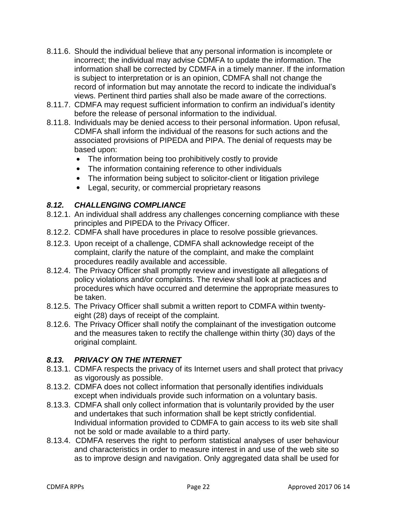- 8.11.6. Should the individual believe that any personal information is incomplete or incorrect; the individual may advise CDMFA to update the information. The information shall be corrected by CDMFA in a timely manner. If the information is subject to interpretation or is an opinion, CDMFA shall not change the record of information but may annotate the record to indicate the individual's views. Pertinent third parties shall also be made aware of the corrections.
- 8.11.7. CDMFA may request sufficient information to confirm an individual's identity before the release of personal information to the individual.
- 8.11.8. Individuals may be denied access to their personal information. Upon refusal, CDMFA shall inform the individual of the reasons for such actions and the associated provisions of PIPEDA and PIPA. The denial of requests may be based upon:
	- The information being too prohibitively costly to provide
	- The information containing reference to other individuals
	- The information being subject to solicitor-client or litigation privilege
	- Legal, security, or commercial proprietary reasons

## *8.12. CHALLENGING COMPLIANCE*

- 8.12.1. An individual shall address any challenges concerning compliance with these principles and PIPEDA to the Privacy Officer.
- 8.12.2. CDMFA shall have procedures in place to resolve possible grievances.
- 8.12.3. Upon receipt of a challenge, CDMFA shall acknowledge receipt of the complaint, clarify the nature of the complaint, and make the complaint procedures readily available and accessible.
- 8.12.4. The Privacy Officer shall promptly review and investigate all allegations of policy violations and/or complaints. The review shall look at practices and procedures which have occurred and determine the appropriate measures to be taken.
- 8.12.5. The Privacy Officer shall submit a written report to CDMFA within twentyeight (28) days of receipt of the complaint.
- 8.12.6. The Privacy Officer shall notify the complainant of the investigation outcome and the measures taken to rectify the challenge within thirty (30) days of the original complaint.

# *8.13. PRIVACY ON THE INTERNET*

- 8.13.1. CDMFA respects the privacy of its Internet users and shall protect that privacy as vigorously as possible.
- 8.13.2. CDMFA does not collect information that personally identifies individuals except when individuals provide such information on a voluntary basis.
- 8.13.3. CDMFA shall only collect information that is voluntarily provided by the user and undertakes that such information shall be kept strictly confidential. Individual information provided to CDMFA to gain access to its web site shall not be sold or made available to a third party.
- 8.13.4. CDMFA reserves the right to perform statistical analyses of user behaviour and characteristics in order to measure interest in and use of the web site so as to improve design and navigation. Only aggregated data shall be used for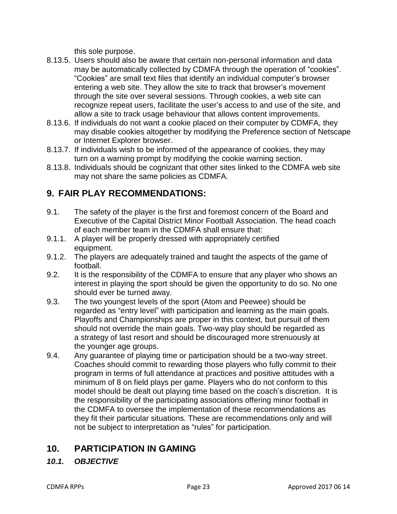this sole purpose.

- 8.13.5. Users should also be aware that certain non-personal information and data may be automatically collected by CDMFA through the operation of "cookies". "Cookies" are small text files that identify an individual computer's browser entering a web site. They allow the site to track that browser's movement through the site over several sessions. Through cookies, a web site can recognize repeat users, facilitate the user's access to and use of the site, and allow a site to track usage behaviour that allows content improvements.
- 8.13.6. If individuals do not want a cookie placed on their computer by CDMFA, they may disable cookies altogether by modifying the Preference section of Netscape or Internet Explorer browser.
- 8.13.7. If individuals wish to be informed of the appearance of cookies, they may turn on a warning prompt by modifying the cookie warning section.
- 8.13.8. Individuals should be cognizant that other sites linked to the CDMFA web site may not share the same policies as CDMFA.

# **9. FAIR PLAY RECOMMENDATIONS:**

- 9.1. The safety of the player is the first and foremost concern of the Board and Executive of the Capital District Minor Football Association. The head coach of each member team in the CDMFA shall ensure that:
- 9.1.1. A player will be properly dressed with appropriately certified equipment.
- 9.1.2. The players are adequately trained and taught the aspects of the game of football.
- 9.2. It is the responsibility of the CDMFA to ensure that any player who shows an interest in playing the sport should be given the opportunity to do so. No one should ever be turned away.
- 9.3. The two youngest levels of the sport (Atom and Peewee) should be regarded as "entry level" with participation and learning as the main goals. Playoffs and Championships are proper in this context, but pursuit of them should not override the main goals. Two-way play should be regarded as a strategy of last resort and should be discouraged more strenuously at the younger age groups.
- 9.4. Any guarantee of playing time or participation should be a two-way street. Coaches should commit to rewarding those players who fully commit to their program in terms of full attendance at practices and positive attitudes with a minimum of 8 on field plays per game. Players who do not conform to this model should be dealt out playing time based on the coach's discretion. It is the responsibility of the participating associations offering minor football in the CDMFA to oversee the implementation of these recommendations as they fit their particular situations. These are recommendations only and will not be subject to interpretation as "rules" for participation.

# **10. PARTICIPATION IN GAMING**

# *10.1. OBJECTIVE*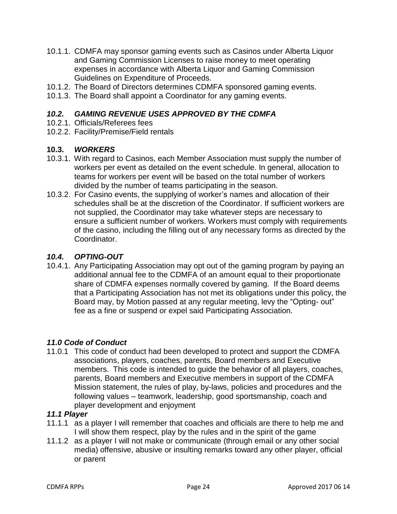- 10.1.1. CDMFA may sponsor gaming events such as Casinos under Alberta Liquor and Gaming Commission Licenses to raise money to meet operating expenses in accordance with Alberta Liquor and Gaming Commission Guidelines on Expenditure of Proceeds.
- 10.1.2. The Board of Directors determines CDMFA sponsored gaming events.
- 10.1.3. The Board shall appoint a Coordinator for any gaming events.

#### *10.2. GAMING REVENUE USES APPROVED BY THE CDMFA*

- 10.2.1. Officials/Referees fees
- 10.2.2. Facility/Premise/Field rentals

#### **10.3.** *WORKERS*

- 10.3.1. With regard to Casinos, each Member Association must supply the number of workers per event as detailed on the event schedule. In general, allocation to teams for workers per event will be based on the total number of workers divided by the number of teams participating in the season.
- 10.3.2. For Casino events, the supplying of worker's names and allocation of their schedules shall be at the discretion of the Coordinator. If sufficient workers are not supplied, the Coordinator may take whatever steps are necessary to ensure a sufficient number of workers. Workers must comply with requirements of the casino, including the filling out of any necessary forms as directed by the Coordinator.

#### *10.4. OPTING-OUT*

10.4.1. Any Participating Association may opt out of the gaming program by paying an additional annual fee to the CDMFA of an amount equal to their proportionate share of CDMFA expenses normally covered by gaming. If the Board deems that a Participating Association has not met its obligations under this policy, the Board may, by Motion passed at any regular meeting, levy the "Opting- out" fee as a fine or suspend or expel said Participating Association.

#### *11.0 Code of Conduct*

11.0.1 This code of conduct had been developed to protect and support the CDMFA associations, players, coaches, parents, Board members and Executive members. This code is intended to guide the behavior of all players, coaches, parents, Board members and Executive members in support of the CDMFA Mission statement, the rules of play, by-laws, policies and procedures and the following values – teamwork, leadership, good sportsmanship, coach and player development and enjoyment

#### *11.1 Player*

- 11.1.1 as a player I will remember that coaches and officials are there to help me and I will show them respect, play by the rules and in the spirit of the game
- 11.1.2 as a player I will not make or communicate (through email or any other social media) offensive, abusive or insulting remarks toward any other player, official or parent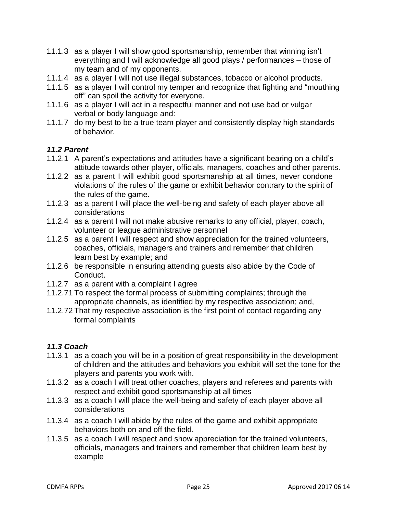- 11.1.3 as a player I will show good sportsmanship, remember that winning isn't everything and I will acknowledge all good plays / performances – those of my team and of my opponents.
- 11.1.4 as a player I will not use illegal substances, tobacco or alcohol products.
- 11.1.5 as a player I will control my temper and recognize that fighting and "mouthing off" can spoil the activity for everyone.
- 11.1.6 as a player I will act in a respectful manner and not use bad or vulgar verbal or body language and:
- 11.1.7 do my best to be a true team player and consistently display high standards of behavior.

#### *11.2 Parent*

- 11.2.1 A parent's expectations and attitudes have a significant bearing on a child's attitude towards other player, officials, managers, coaches and other parents.
- 11.2.2 as a parent I will exhibit good sportsmanship at all times, never condone violations of the rules of the game or exhibit behavior contrary to the spirit of the rules of the game.
- 11.2.3 as a parent I will place the well-being and safety of each player above all considerations
- 11.2.4 as a parent I will not make abusive remarks to any official, player, coach, volunteer or league administrative personnel
- 11.2.5 as a parent I will respect and show appreciation for the trained volunteers, coaches, officials, managers and trainers and remember that children learn best by example; and
- 11.2.6 be responsible in ensuring attending guests also abide by the Code of Conduct.
- 11.2.7 as a parent with a complaint I agree
- 11.2.71 To respect the formal process of submitting complaints; through the appropriate channels, as identified by my respective association; and,
- 11.2.72 That my respective association is the first point of contact regarding any formal complaints

#### *11.3 Coach*

- 11.3.1 as a coach you will be in a position of great responsibility in the development of children and the attitudes and behaviors you exhibit will set the tone for the players and parents you work with.
- 11.3.2 as a coach I will treat other coaches, players and referees and parents with respect and exhibit good sportsmanship at all times
- 11.3.3 as a coach I will place the well-being and safety of each player above all considerations
- 11.3.4 as a coach I will abide by the rules of the game and exhibit appropriate behaviors both on and off the field.
- 11.3.5 as a coach I will respect and show appreciation for the trained volunteers, officials, managers and trainers and remember that children learn best by example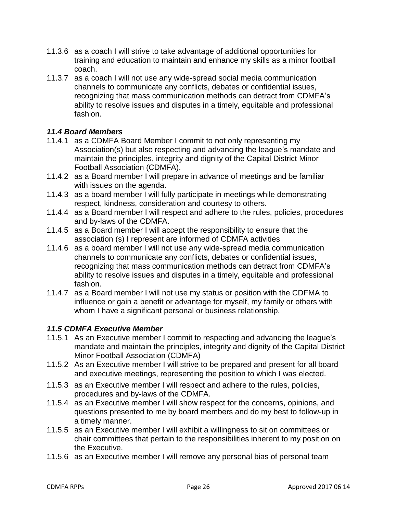- 11.3.6 as a coach I will strive to take advantage of additional opportunities for training and education to maintain and enhance my skills as a minor football coach.
- 11.3.7 as a coach I will not use any wide-spread social media communication channels to communicate any conflicts, debates or confidential issues, recognizing that mass communication methods can detract from CDMFA's ability to resolve issues and disputes in a timely, equitable and professional fashion.

# *11.4 Board Members*

- 11.4.1 as a CDMFA Board Member I commit to not only representing my Association(s) but also respecting and advancing the league's mandate and maintain the principles, integrity and dignity of the Capital District Minor Football Association (CDMFA).
- 11.4.2 as a Board member I will prepare in advance of meetings and be familiar with issues on the agenda.
- 11.4.3 as a board member I will fully participate in meetings while demonstrating respect, kindness, consideration and courtesy to others.
- 11.4.4 as a Board member I will respect and adhere to the rules, policies, procedures and by-laws of the CDMFA.
- 11.4.5 as a Board member I will accept the responsibility to ensure that the association (s) I represent are informed of CDMFA activities
- 11.4.6 as a board member I will not use any wide-spread media communication channels to communicate any conflicts, debates or confidential issues, recognizing that mass communication methods can detract from CDMFA's ability to resolve issues and disputes in a timely, equitable and professional fashion.
- 11.4.7 as a Board member I will not use my status or position with the CDFMA to influence or gain a benefit or advantage for myself, my family or others with whom I have a significant personal or business relationship.

#### *11.5 CDMFA Executive Member*

- 11.5.1 As an Executive member I commit to respecting and advancing the league's mandate and maintain the principles, integrity and dignity of the Capital District Minor Football Association (CDMFA)
- 11.5.2 As an Executive member I will strive to be prepared and present for all board and executive meetings, representing the position to which I was elected.
- 11.5.3 as an Executive member I will respect and adhere to the rules, policies, procedures and by-laws of the CDMFA.
- 11.5.4 as an Executive member I will show respect for the concerns, opinions, and questions presented to me by board members and do my best to follow-up in a timely manner.
- 11.5.5 as an Executive member I will exhibit a willingness to sit on committees or chair committees that pertain to the responsibilities inherent to my position on the Executive.
- 11.5.6 as an Executive member I will remove any personal bias of personal team